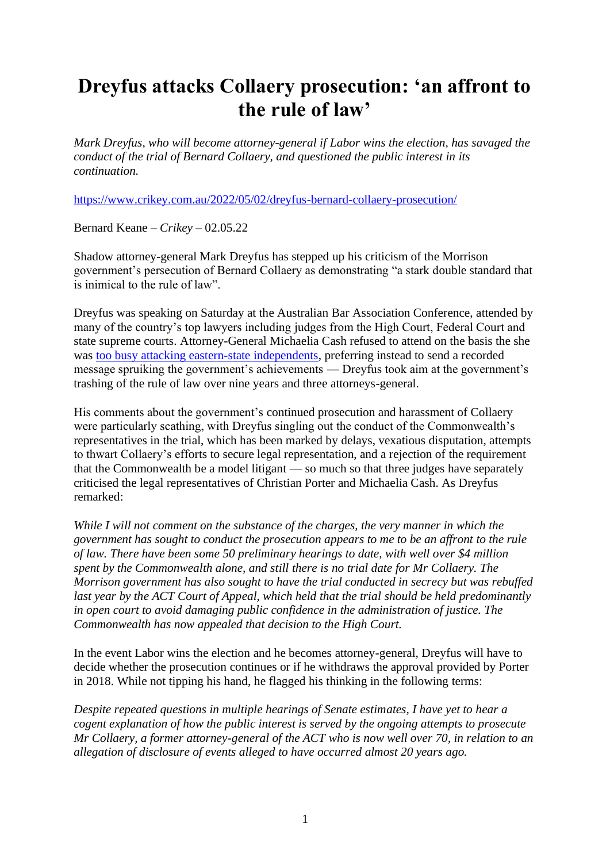## **Dreyfus attacks Collaery prosecution: 'an affront to the rule of law'**

*Mark Dreyfus, who will become attorney-general if Labor wins the election, has savaged the conduct of the trial of Bernard Collaery, and questioned the public interest in its continuation.*

<https://www.crikey.com.au/2022/05/02/dreyfus-bernard-collaery-prosecution/>

Bernard Keane – *Crikey –* 02.05.22

Shadow attorney-general Mark Dreyfus has stepped up his criticism of the Morrison government's persecution of Bernard Collaery as demonstrating "a stark double standard that is inimical to the rule of law".

Dreyfus was speaking on Saturday at the Australian Bar Association Conference, attended by many of the country's top lawyers including judges from the High Court, Federal Court and state supreme courts. Attorney-General Michaelia Cash refused to attend on the basis the she was [too busy attacking eastern-state independents,](https://www.skynews.com.au/australia-news/politics/teal-independents-would-bring-chaos-and-instability-michaelia-cash/video/bd110703ee549f6c726a6b051a3bbae6) preferring instead to send a recorded message spruiking the government's achievements — Dreyfus took aim at the government's trashing of the rule of law over nine years and three attorneys-general.

His comments about the government's continued prosecution and harassment of Collaery were particularly scathing, with Dreyfus singling out the conduct of the Commonwealth's representatives in the trial, which has been marked by delays, vexatious disputation, attempts to thwart Collaery's efforts to secure legal representation, and a rejection of the requirement that the Commonwealth be a model litigant — so much so that three judges have separately criticised the legal representatives of Christian Porter and Michaelia Cash. As Dreyfus remarked:

*While I will not comment on the substance of the charges, the very manner in which the government has sought to conduct the prosecution appears to me to be an affront to the rule of law. There have been some 50 preliminary hearings to date, with well over \$4 million spent by the Commonwealth alone, and still there is no trial date for Mr Collaery. The Morrison government has also sought to have the trial conducted in secrecy but was rebuffed last year by the ACT Court of Appeal, which held that the trial should be held predominantly in open court to avoid damaging public confidence in the administration of justice. The Commonwealth has now appealed that decision to the High Court.*

In the event Labor wins the election and he becomes attorney-general, Dreyfus will have to decide whether the prosecution continues or if he withdraws the approval provided by Porter in 2018. While not tipping his hand, he flagged his thinking in the following terms:

*Despite repeated questions in multiple hearings of Senate estimates, I have yet to hear a cogent explanation of how the public interest is served by the ongoing attempts to prosecute Mr Collaery, a former attorney-general of the ACT who is now well over 70, in relation to an allegation of disclosure of events alleged to have occurred almost 20 years ago.*